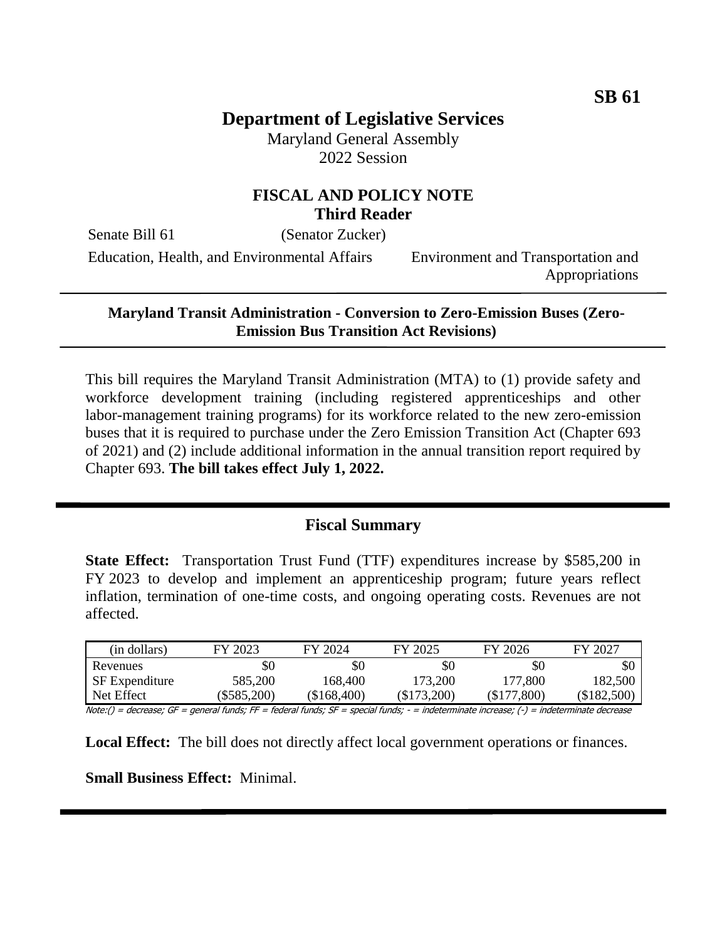# **Department of Legislative Services**

Maryland General Assembly 2022 Session

## **FISCAL AND POLICY NOTE Third Reader**

Senate Bill 61 (Senator Zucker)

Education, Health, and Environmental Affairs Environment and Transportation and

Appropriations

#### **Maryland Transit Administration - Conversion to Zero-Emission Buses (Zero-Emission Bus Transition Act Revisions)**

This bill requires the Maryland Transit Administration (MTA) to (1) provide safety and workforce development training (including registered apprenticeships and other labor-management training programs) for its workforce related to the new zero-emission buses that it is required to purchase under the Zero Emission Transition Act (Chapter 693 of 2021) and (2) include additional information in the annual transition report required by Chapter 693. **The bill takes effect July 1, 2022.** 

### **Fiscal Summary**

**State Effect:** Transportation Trust Fund (TTF) expenditures increase by \$585,200 in FY 2023 to develop and implement an apprenticeship program; future years reflect inflation, termination of one-time costs, and ongoing operating costs. Revenues are not affected.

| (in dollars)          | FY 2023     | FY 2024     | FY 2025       | FY 2026         | FY 2027       |
|-----------------------|-------------|-------------|---------------|-----------------|---------------|
| Revenues              | \$0         | \$0         | \$0           | \$0             | \$0           |
| <b>SF</b> Expenditure | 585,200     | 168.400     | 173,200       | 177,800         | 182,500       |
| Net Effect            | (\$585,200) | (\$168,400) | $(\$173,200)$ | 0.800<br>\$177, | $(\$182,500)$ |

Note:() = decrease; GF = general funds; FF = federal funds; SF = special funds; - = indeterminate increase; (-) = indeterminate decrease

**Local Effect:** The bill does not directly affect local government operations or finances.

**Small Business Effect:** Minimal.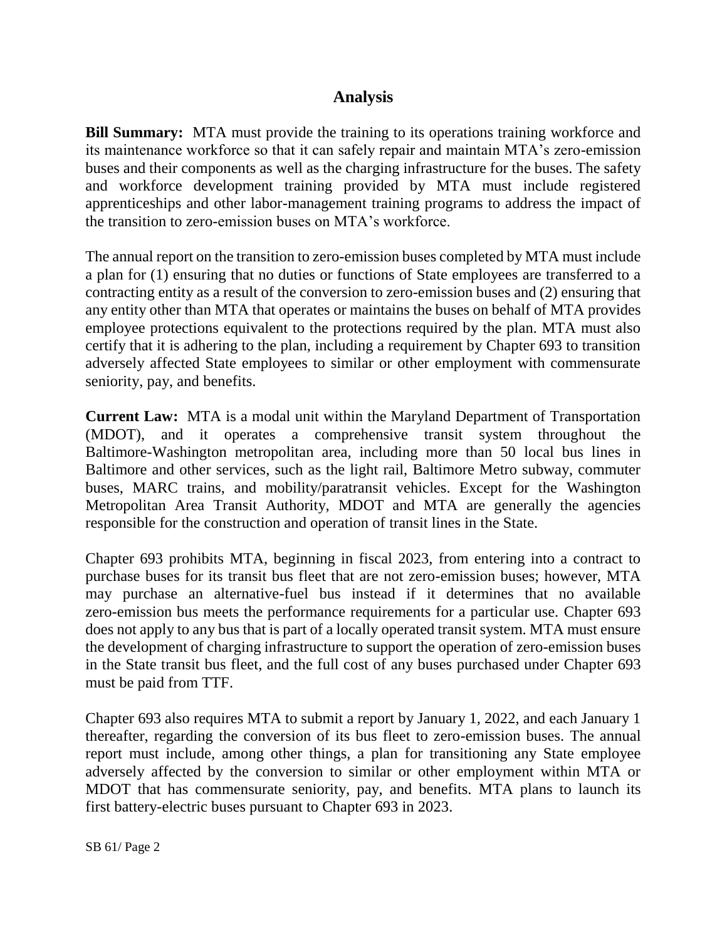## **Analysis**

**Bill Summary:** MTA must provide the training to its operations training workforce and its maintenance workforce so that it can safely repair and maintain MTA's zero-emission buses and their components as well as the charging infrastructure for the buses. The safety and workforce development training provided by MTA must include registered apprenticeships and other labor-management training programs to address the impact of the transition to zero-emission buses on MTA's workforce.

The annual report on the transition to zero-emission buses completed by MTA must include a plan for (1) ensuring that no duties or functions of State employees are transferred to a contracting entity as a result of the conversion to zero-emission buses and (2) ensuring that any entity other than MTA that operates or maintains the buses on behalf of MTA provides employee protections equivalent to the protections required by the plan. MTA must also certify that it is adhering to the plan, including a requirement by Chapter 693 to transition adversely affected State employees to similar or other employment with commensurate seniority, pay, and benefits.

**Current Law:** MTA is a modal unit within the Maryland Department of Transportation (MDOT), and it operates a comprehensive transit system throughout the Baltimore-Washington metropolitan area, including more than 50 local bus lines in Baltimore and other services, such as the light rail, Baltimore Metro subway, commuter buses, MARC trains, and mobility/paratransit vehicles. Except for the Washington Metropolitan Area Transit Authority, MDOT and MTA are generally the agencies responsible for the construction and operation of transit lines in the State.

Chapter 693 prohibits MTA, beginning in fiscal 2023, from entering into a contract to purchase buses for its transit bus fleet that are not zero-emission buses; however, MTA may purchase an alternative-fuel bus instead if it determines that no available zero-emission bus meets the performance requirements for a particular use. Chapter 693 does not apply to any bus that is part of a locally operated transit system. MTA must ensure the development of charging infrastructure to support the operation of zero-emission buses in the State transit bus fleet, and the full cost of any buses purchased under Chapter 693 must be paid from TTF.

Chapter 693 also requires MTA to submit a report by January 1, 2022, and each January 1 thereafter, regarding the conversion of its bus fleet to zero-emission buses. The annual report must include, among other things, a plan for transitioning any State employee adversely affected by the conversion to similar or other employment within MTA or MDOT that has commensurate seniority, pay, and benefits. MTA plans to launch its first battery-electric buses pursuant to Chapter 693 in 2023.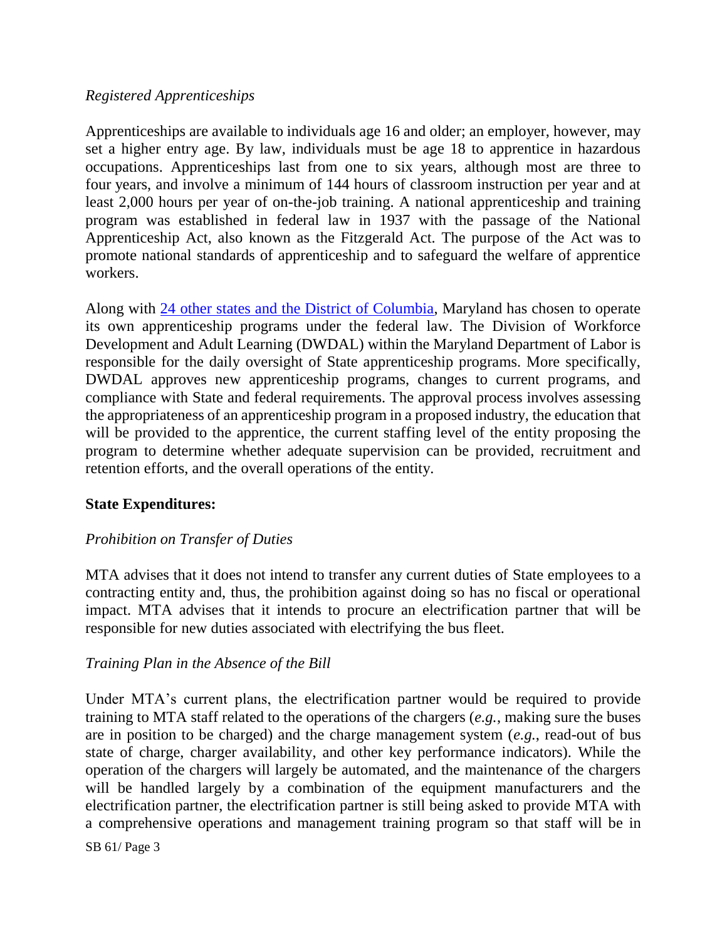#### *Registered Apprenticeships*

Apprenticeships are available to individuals age 16 and older; an employer, however, may set a higher entry age. By law, individuals must be age 18 to apprentice in hazardous occupations. Apprenticeships last from one to six years, although most are three to four years, and involve a minimum of 144 hours of classroom instruction per year and at least 2,000 hours per year of on-the-job training. A national apprenticeship and training program was established in federal law in 1937 with the passage of the National Apprenticeship Act, also known as the Fitzgerald Act. The purpose of the Act was to promote national standards of apprenticeship and to safeguard the welfare of apprentice workers.

Along with [24 other states and the District of Columbia,](https://www.dol.gov/agencies/eta/apprenticeship/contact) Maryland has chosen to operate its own apprenticeship programs under the federal law. The Division of Workforce Development and Adult Learning (DWDAL) within the Maryland Department of Labor is responsible for the daily oversight of State apprenticeship programs. More specifically, DWDAL approves new apprenticeship programs, changes to current programs, and compliance with State and federal requirements. The approval process involves assessing the appropriateness of an apprenticeship program in a proposed industry, the education that will be provided to the apprentice, the current staffing level of the entity proposing the program to determine whether adequate supervision can be provided, recruitment and retention efforts, and the overall operations of the entity.

### **State Expenditures:**

### *Prohibition on Transfer of Duties*

MTA advises that it does not intend to transfer any current duties of State employees to a contracting entity and, thus, the prohibition against doing so has no fiscal or operational impact. MTA advises that it intends to procure an electrification partner that will be responsible for new duties associated with electrifying the bus fleet.

#### *Training Plan in the Absence of the Bill*

Under MTA's current plans, the electrification partner would be required to provide training to MTA staff related to the operations of the chargers (*e.g.*, making sure the buses are in position to be charged) and the charge management system (*e.g.*, read-out of bus state of charge, charger availability, and other key performance indicators). While the operation of the chargers will largely be automated, and the maintenance of the chargers will be handled largely by a combination of the equipment manufacturers and the electrification partner, the electrification partner is still being asked to provide MTA with a comprehensive operations and management training program so that staff will be in

SB 61/ Page 3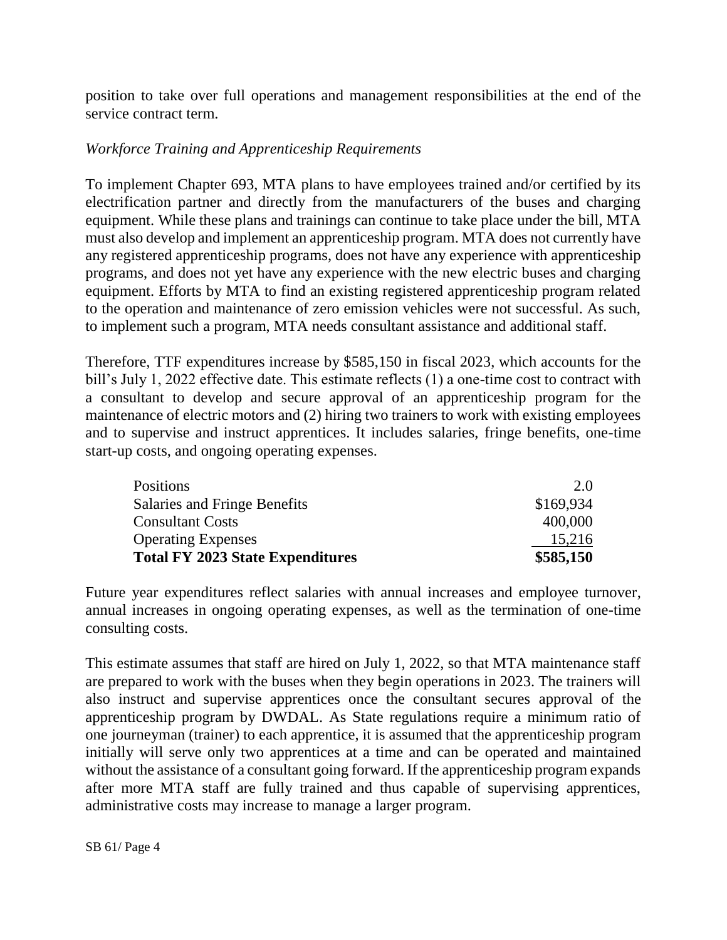position to take over full operations and management responsibilities at the end of the service contract term.

## *Workforce Training and Apprenticeship Requirements*

To implement Chapter 693, MTA plans to have employees trained and/or certified by its electrification partner and directly from the manufacturers of the buses and charging equipment. While these plans and trainings can continue to take place under the bill, MTA must also develop and implement an apprenticeship program. MTA does not currently have any registered apprenticeship programs, does not have any experience with apprenticeship programs, and does not yet have any experience with the new electric buses and charging equipment. Efforts by MTA to find an existing registered apprenticeship program related to the operation and maintenance of zero emission vehicles were not successful. As such, to implement such a program, MTA needs consultant assistance and additional staff.

Therefore, TTF expenditures increase by \$585,150 in fiscal 2023, which accounts for the bill's July 1, 2022 effective date. This estimate reflects (1) a one-time cost to contract with a consultant to develop and secure approval of an apprenticeship program for the maintenance of electric motors and (2) hiring two trainers to work with existing employees and to supervise and instruct apprentices. It includes salaries, fringe benefits, one-time start-up costs, and ongoing operating expenses.

| <b>Positions</b>                        | 2.0       |
|-----------------------------------------|-----------|
| Salaries and Fringe Benefits            | \$169,934 |
| <b>Consultant Costs</b>                 | 400,000   |
| <b>Operating Expenses</b>               | 15,216    |
| <b>Total FY 2023 State Expenditures</b> | \$585,150 |

Future year expenditures reflect salaries with annual increases and employee turnover, annual increases in ongoing operating expenses, as well as the termination of one-time consulting costs.

This estimate assumes that staff are hired on July 1, 2022, so that MTA maintenance staff are prepared to work with the buses when they begin operations in 2023. The trainers will also instruct and supervise apprentices once the consultant secures approval of the apprenticeship program by DWDAL. As State regulations require a minimum ratio of one journeyman (trainer) to each apprentice, it is assumed that the apprenticeship program initially will serve only two apprentices at a time and can be operated and maintained without the assistance of a consultant going forward. If the apprenticeship program expands after more MTA staff are fully trained and thus capable of supervising apprentices, administrative costs may increase to manage a larger program.